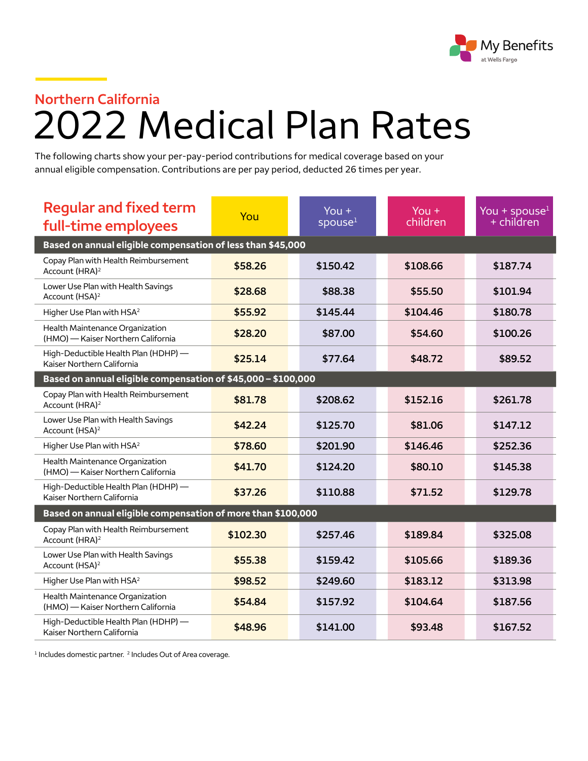

## **Northern California** 2022 Medical Plan Rates

The following charts show your per-pay-period contributions for medical coverage based on your annual eligible compensation. Contributions are per pay period, deducted 26 times per year.

| <b>Regular and fixed term</b><br>full-time employees                  | You      | You $+$<br>spouse $1$ | You $+$<br>children | You + spouse $1$<br>+ children |  |  |  |
|-----------------------------------------------------------------------|----------|-----------------------|---------------------|--------------------------------|--|--|--|
| Based on annual eligible compensation of less than \$45,000           |          |                       |                     |                                |  |  |  |
| Copay Plan with Health Reimbursement<br>Account (HRA) <sup>2</sup>    | \$58.26  | \$150.42              | \$108.66            | \$187.74                       |  |  |  |
| Lower Use Plan with Health Savings<br>Account (HSA) <sup>2</sup>      | \$28.68  | \$88.38               | \$55.50             | \$101.94                       |  |  |  |
| Higher Use Plan with HSA <sup>2</sup>                                 | \$55.92  | \$145.44              | \$104.46            | \$180.78                       |  |  |  |
| Health Maintenance Organization<br>(HMO) - Kaiser Northern California | \$28.20  | \$87.00               | \$54.60             | \$100.26                       |  |  |  |
| High-Deductible Health Plan (HDHP) -<br>Kaiser Northern California    | \$25.14  | \$77.64               | \$48.72             | \$89.52                        |  |  |  |
| Based on annual eligible compensation of \$45,000 - \$100,000         |          |                       |                     |                                |  |  |  |
| Copay Plan with Health Reimbursement<br>Account (HRA) <sup>2</sup>    | \$81.78  | \$208.62              | \$152.16            | \$261.78                       |  |  |  |
| Lower Use Plan with Health Savings<br>Account (HSA) <sup>2</sup>      | \$42.24  | \$125.70              | \$81.06             | \$147.12                       |  |  |  |
| Higher Use Plan with HSA <sup>2</sup>                                 | \$78.60  | \$201.90              | \$146.46            | \$252.36                       |  |  |  |
| Health Maintenance Organization<br>(HMO) - Kaiser Northern California | \$41.70  | \$124.20              | \$80.10             | \$145.38                       |  |  |  |
| High-Deductible Health Plan (HDHP) -<br>Kaiser Northern California    | \$37.26  | \$110.88              | \$71.52             | \$129.78                       |  |  |  |
| Based on annual eligible compensation of more than \$100,000          |          |                       |                     |                                |  |  |  |
| Copay Plan with Health Reimbursement<br>Account (HRA) <sup>2</sup>    | \$102.30 | \$257.46              | \$189.84            | \$325.08                       |  |  |  |
| Lower Use Plan with Health Savings<br>Account (HSA) <sup>2</sup>      | \$55.38  | \$159.42              | \$105.66            | \$189.36                       |  |  |  |
| Higher Use Plan with HSA <sup>2</sup>                                 | \$98.52  | \$249.60              | \$183.12            | \$313.98                       |  |  |  |
| Health Maintenance Organization<br>(HMO) - Kaiser Northern California | \$54.84  | \$157.92              | \$104.64            | \$187.56                       |  |  |  |
| High-Deductible Health Plan (HDHP) -<br>Kaiser Northern California    | \$48.96  | \$141.00              | \$93.48             | \$167.52                       |  |  |  |

 $1$  Includes domestic partner.  $2$  Includes Out of Area coverage.